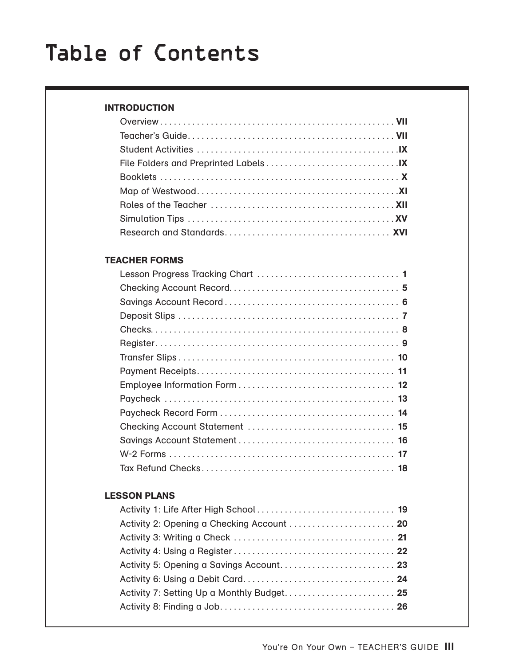#### INTRODUCTION

#### TEACHER FORMS

#### LESSON PLANS

| Activity 2: Opening a Checking Account  20 |  |
|--------------------------------------------|--|
|                                            |  |
|                                            |  |
|                                            |  |
|                                            |  |
| Activity 7: Setting Up a Monthly Budget 25 |  |
|                                            |  |
|                                            |  |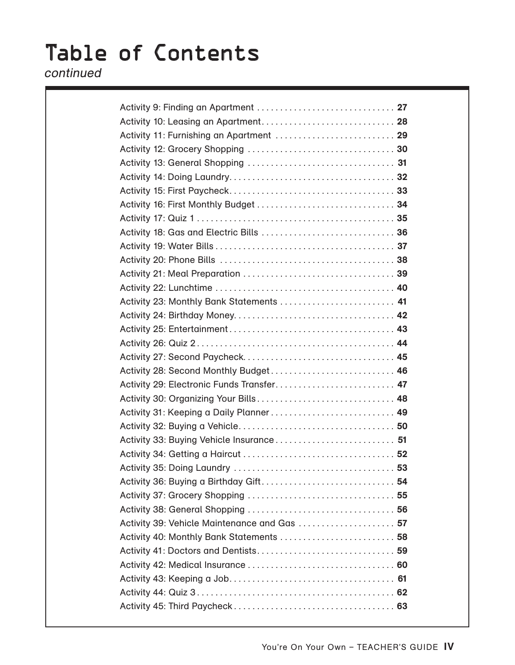### continued

| Activity 11: Furnishing an Apartment  29     |  |
|----------------------------------------------|--|
|                                              |  |
|                                              |  |
|                                              |  |
|                                              |  |
|                                              |  |
|                                              |  |
|                                              |  |
|                                              |  |
|                                              |  |
|                                              |  |
|                                              |  |
| Activity 23: Monthly Bank Statements  41     |  |
|                                              |  |
|                                              |  |
|                                              |  |
|                                              |  |
| Activity 28: Second Monthly Budget 46        |  |
| Activity 29: Electronic Funds Transfer 47    |  |
| Activity 30: Organizing Your Bills 48        |  |
| Activity 31: Keeping a Daily Planner 49      |  |
|                                              |  |
| Activity 33: Buying Vehicle Insurance 51     |  |
|                                              |  |
|                                              |  |
|                                              |  |
|                                              |  |
|                                              |  |
| Activity 39: Vehicle Maintenance and Gas  57 |  |
| Activity 40: Monthly Bank Statements  58     |  |
|                                              |  |
|                                              |  |
|                                              |  |
|                                              |  |
|                                              |  |
|                                              |  |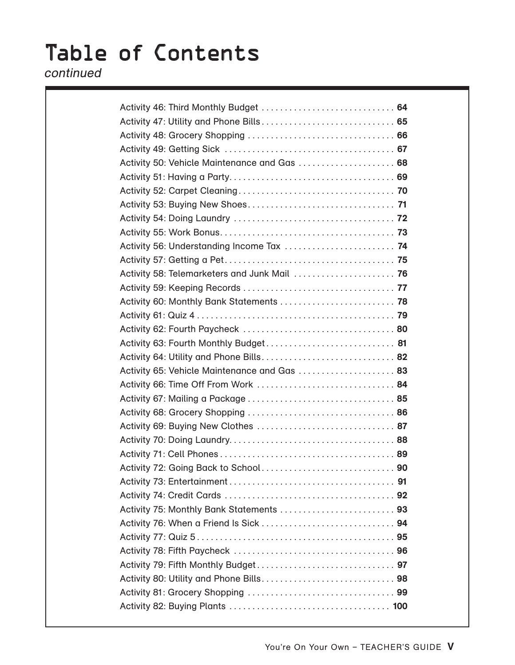### continued

| Activity 46: Third Monthly Budget  64        |  |
|----------------------------------------------|--|
|                                              |  |
|                                              |  |
|                                              |  |
| Activity 50: Vehicle Maintenance and Gas  68 |  |
|                                              |  |
|                                              |  |
|                                              |  |
|                                              |  |
|                                              |  |
| Activity 56: Understanding Income Tax  74    |  |
|                                              |  |
| Activity 58: Telemarketers and Junk Mail  76 |  |
|                                              |  |
| Activity 60: Monthly Bank Statements  78     |  |
|                                              |  |
|                                              |  |
| Activity 63: Fourth Monthly Budget 81        |  |
| Activity 64: Utility and Phone Bills 82      |  |
| Activity 65: Vehicle Maintenance and Gas  83 |  |
| Activity 66: Time Off From Work  84          |  |
|                                              |  |
|                                              |  |
| Activity 69: Buying New Clothes  87          |  |
|                                              |  |
|                                              |  |
|                                              |  |
|                                              |  |
|                                              |  |
| Activity 75: Monthly Bank Statements  93     |  |
|                                              |  |
|                                              |  |
|                                              |  |
|                                              |  |
|                                              |  |
|                                              |  |
|                                              |  |
|                                              |  |